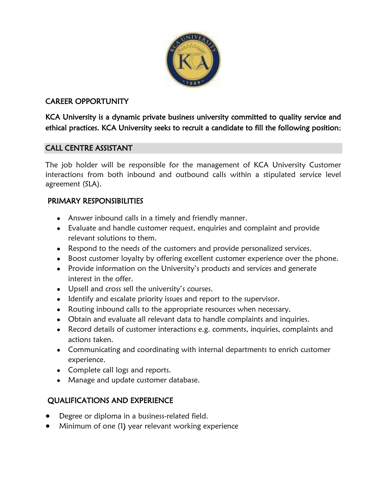

## CAREER OPPORTUNITY

KCA University is a dynamic private business university committed to quality service and ethical practices. KCA University seeks to recruit a candidate to fill the following position;

#### CALL CENTRE ASSISTANT

The job holder will be responsible for the management of KCA University Customer interactions from both inbound and outbound calls within a stipulated service level agreement (SLA).

### PRIMARY RESPONSIBILITIES

- Answer inbound calls in a timely and friendly manner.
- Evaluate and handle customer request, enquiries and complaint and provide relevant solutions to them.
- Respond to the needs of the customers and provide personalized services.
- Boost customer loyalty by offering excellent customer experience over the phone.
- Provide information on the University's products and services and generate interest in the offer.
- Upsell and cross sell the university's courses.
- Identify and escalate priority issues and report to the supervisor.
- Routing inbound calls to the appropriate resources when necessary.
- Obtain and evaluate all relevant data to handle complaints and inquiries.
- Record details of customer interactions e.g. comments, inquiries, complaints and actions taken.
- Communicating and coordinating with internal departments to enrich customer experience.
- Complete call logs and reports.
- Manage and update customer database.

# QUALIFICATIONS AND EXPERIENCE

- Degree or diploma in a business-related field.
- Minimum of one (1) year relevant working experience